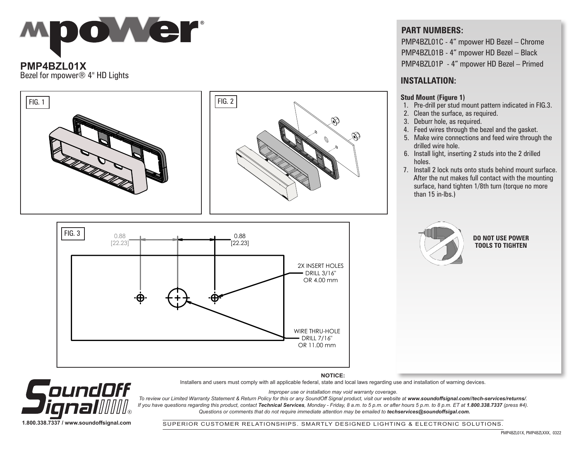

### Bezel for mpower® 4" HD Lights **INSTALLATION:**





#### **PART NUMBERS:**

PMP4BZL01C - 4" mpower HD Bezel – Chrome PMP4BZL01B - 4" mpower HD Bezel – Black PMP4BZL01P - 4" mpower HD Bezel – Primed

#### **Stud Mount (Figure 1)**

- 1. Pre-drill per stud mount pattern indicated in FIG.3.
- 2. Clean the surface, as required.
- 3. Deburr hole, as required.
- 4. Feed wires through the bezel and the gasket.
- 5. Make wire connections and feed wire through the drilled wire hole.
- 6. Install light, inserting 2 studs into the 2 drilled
- 7. Install 2 lock nuts onto studs behind mount surface. After the nut makes full contact with the mounting surface, hand tighten 1/8th turn (torque no more than 15 in-lbs.)



**DO NOT USE POWER TOOLS TO TIGHTEN**

**NOTICE:**



Installers and users must comply with all applicable federal, state and local laws regarding use and installation of warning devices. *Improper use or installation may void warranty coverage.*

To review our Limited Warranty Statement & Return Policy for this or any SoundOff Signal product, visit our website at www.soundoffsignal.com//tech-services/returns/. *If you have questions regarding this product, contact Technical Services, Monday - Friday, 8 a.m. to 5 p.m. or after hours 5 p.m. to 8 p.m. ET at 1.800.338.7337 (press #4). Questions or comments that do not require immediate attention may be emailed to techservices@soundoffsigal.com.*

SUPERIOR CUSTOMER RELATIONSHIPS. SMARTLY DESIGNED LIGHTING & ELECTRONIC SOLUTIONS.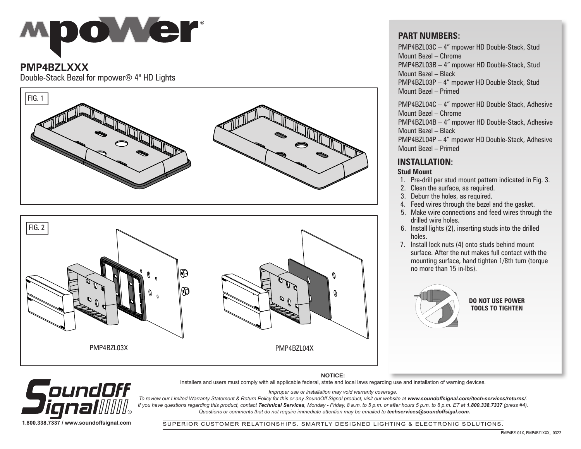# **Mpower**

#### **PMP4BZLXXX**

Double-Stack Bezel for mpower® 4" HD Lights





#### **PART NUMBERS:**

PMP4BZL03C – 4" mpower HD Double-Stack, Stud Mount Bezel – Chrome PMP4BZL03B – 4" mpower HD Double-Stack, Stud Mount Bezel – Black PMP4BZL03P – 4" mpower HD Double-Stack, Stud Mount Bezel – Primed

PMP4BZL04C – 4" mpower HD Double-Stack, Adhesive Mount Bezel – Chrome

PMP4BZL04B – 4" mpower HD Double-Stack, Adhesive Mount Bezel – Black

PMP4BZL04P – 4" mpower HD Double-Stack, Adhesive Mount Bezel – Primed

#### **INSTALLATION:**

#### **Stud Mount**

- 1. Pre-drill per stud mount pattern indicated in Fig. 3.
- 2. Clean the surface, as required.
- 3. Deburr the holes, as required.
- 4. Feed wires through the bezel and the gasket.
- 5. Make wire connections and feed wires through the drilled wire holes.
- 6. Install lights (2), inserting studs into the drilled holes.
- 7. Install lock nuts (4) onto studs behind mount surface. After the nut makes full contact with the mounting surface, hand tighten 1/8th turn (torque no more than 15 in-lbs).



**DO NOT USE POWER TOOLS TO TIGHTEN**

**NOTICE:** Installers and users must comply with all applicable federal, state and local laws regarding use and installation of warning devices.



*Improper use or installation may void warranty coverage.* To review our Limited Warranty Statement & Return Policy for this or any SoundOff Signal product, visit our website at www.soundoffsignal.com//tech-services/returns/.

*If you have questions regarding this product, contact Technical Services, Monday - Friday, 8 a.m. to 5 p.m. or after hours 5 p.m. to 8 p.m. ET at 1.800.338.7337 (press #4). Questions or comments that do not require immediate attention may be emailed to techservices@soundoffsigal.com.*

SUPERIOR CUSTOMER RELATIONSHIPS. SMARTLY DESIGNED LIGHTING & ELECTRONIC SOLUTIONS.